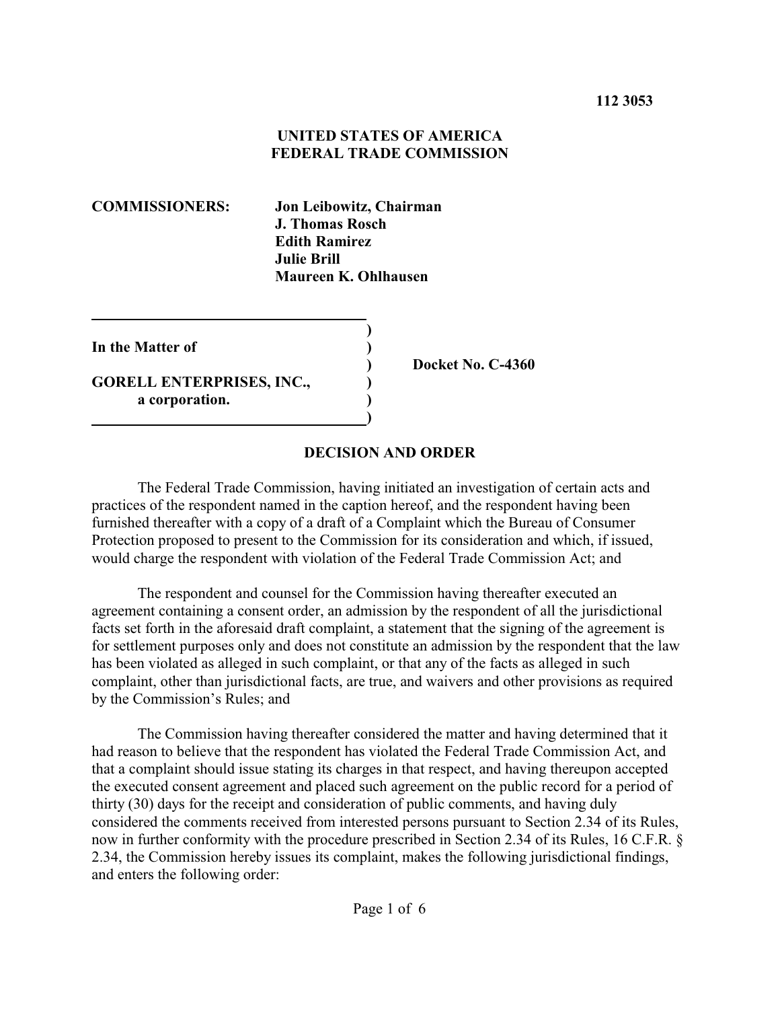## **UNITED STATES OF AMERICA FEDERAL TRADE COMMISSION**

**COMMISSIONERS: Jon Leibowitz, Chairman J. Thomas Rosch Edith Ramirez Julie Brill Maureen K. Ohlhausen**

**In the Matter of ) GORELL ENTERPRISES, INC., ) a corporation. ) )**

**) Docket No. C-4360**

## **DECISION AND ORDER**

The Federal Trade Commission, having initiated an investigation of certain acts and practices of the respondent named in the caption hereof, and the respondent having been furnished thereafter with a copy of a draft of a Complaint which the Bureau of Consumer Protection proposed to present to the Commission for its consideration and which, if issued, would charge the respondent with violation of the Federal Trade Commission Act; and

**)**

The respondent and counsel for the Commission having thereafter executed an agreement containing a consent order, an admission by the respondent of all the jurisdictional facts set forth in the aforesaid draft complaint, a statement that the signing of the agreement is for settlement purposes only and does not constitute an admission by the respondent that the law has been violated as alleged in such complaint, or that any of the facts as alleged in such complaint, other than jurisdictional facts, are true, and waivers and other provisions as required by the Commission's Rules; and

The Commission having thereafter considered the matter and having determined that it had reason to believe that the respondent has violated the Federal Trade Commission Act, and that a complaint should issue stating its charges in that respect, and having thereupon accepted the executed consent agreement and placed such agreement on the public record for a period of thirty (30) days for the receipt and consideration of public comments, and having duly considered the comments received from interested persons pursuant to Section 2.34 of its Rules, now in further conformity with the procedure prescribed in Section 2.34 of its Rules, 16 C.F.R. § 2.34, the Commission hereby issues its complaint, makes the following jurisdictional findings, and enters the following order: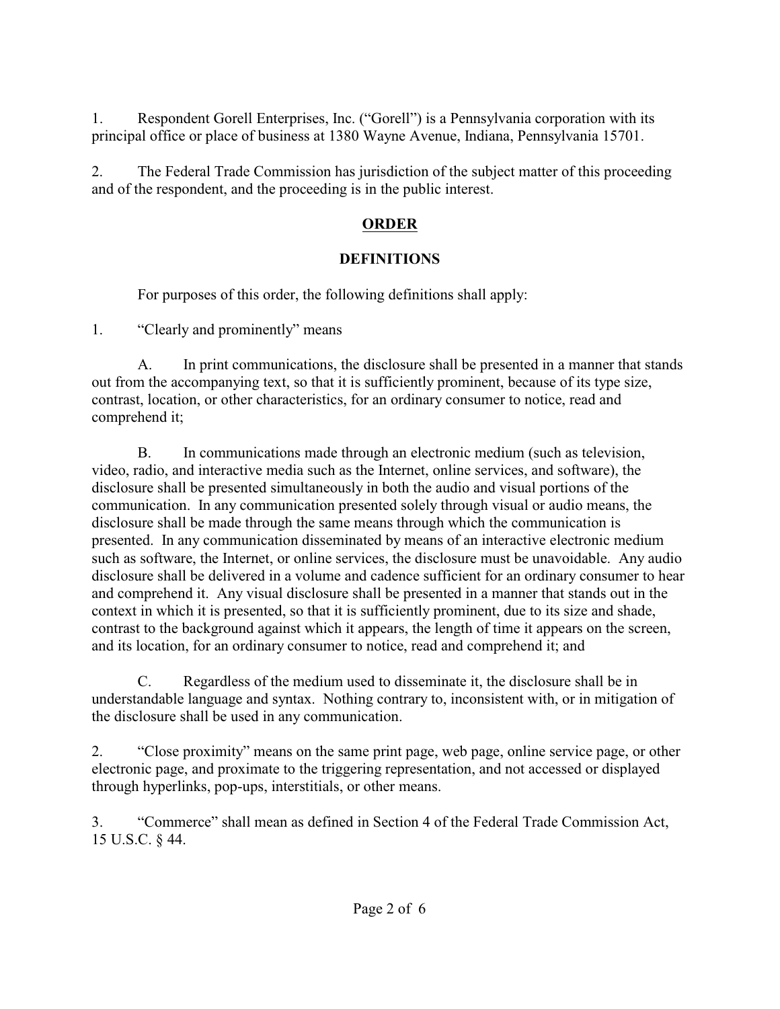1. Respondent Gorell Enterprises, Inc. ("Gorell") is a Pennsylvania corporation with its principal office or place of business at 1380 Wayne Avenue, Indiana, Pennsylvania 15701.

2. The Federal Trade Commission has jurisdiction of the subject matter of this proceeding and of the respondent, and the proceeding is in the public interest.

## **ORDER**

# **DEFINITIONS**

For purposes of this order, the following definitions shall apply:

1. "Clearly and prominently" means

A. In print communications, the disclosure shall be presented in a manner that stands out from the accompanying text, so that it is sufficiently prominent, because of its type size, contrast, location, or other characteristics, for an ordinary consumer to notice, read and comprehend it;

B. In communications made through an electronic medium (such as television, video, radio, and interactive media such as the Internet, online services, and software), the disclosure shall be presented simultaneously in both the audio and visual portions of the communication. In any communication presented solely through visual or audio means, the disclosure shall be made through the same means through which the communication is presented. In any communication disseminated by means of an interactive electronic medium such as software, the Internet, or online services, the disclosure must be unavoidable. Any audio disclosure shall be delivered in a volume and cadence sufficient for an ordinary consumer to hear and comprehend it. Any visual disclosure shall be presented in a manner that stands out in the context in which it is presented, so that it is sufficiently prominent, due to its size and shade, contrast to the background against which it appears, the length of time it appears on the screen, and its location, for an ordinary consumer to notice, read and comprehend it; and

C. Regardless of the medium used to disseminate it, the disclosure shall be in understandable language and syntax. Nothing contrary to, inconsistent with, or in mitigation of the disclosure shall be used in any communication.

2. "Close proximity" means on the same print page, web page, online service page, or other electronic page, and proximate to the triggering representation, and not accessed or displayed through hyperlinks, pop-ups, interstitials, or other means.

3. "Commerce" shall mean as defined in Section 4 of the Federal Trade Commission Act, 15 U.S.C. § 44.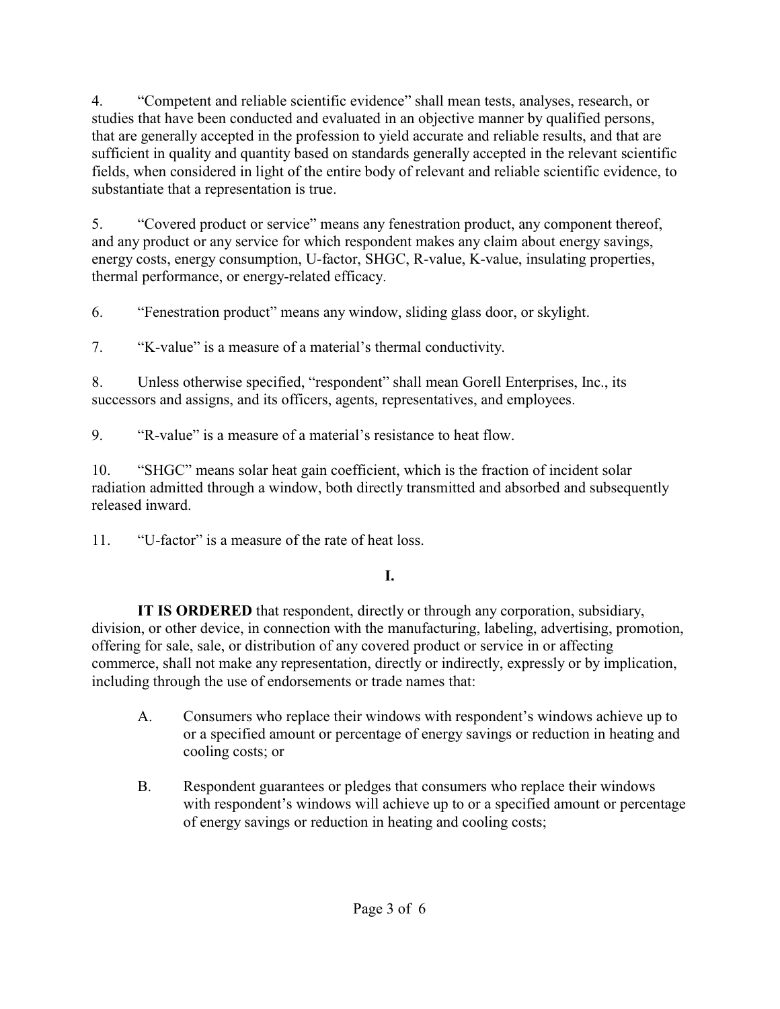4. "Competent and reliable scientific evidence" shall mean tests, analyses, research, or studies that have been conducted and evaluated in an objective manner by qualified persons, that are generally accepted in the profession to yield accurate and reliable results, and that are sufficient in quality and quantity based on standards generally accepted in the relevant scientific fields, when considered in light of the entire body of relevant and reliable scientific evidence, to substantiate that a representation is true.

5. "Covered product or service" means any fenestration product, any component thereof, and any product or any service for which respondent makes any claim about energy savings, energy costs, energy consumption, U-factor, SHGC, R-value, K-value, insulating properties, thermal performance, or energy-related efficacy.

6. "Fenestration product" means any window, sliding glass door, or skylight.

7. "K-value" is a measure of a material's thermal conductivity.

8. Unless otherwise specified, "respondent" shall mean Gorell Enterprises, Inc., its successors and assigns, and its officers, agents, representatives, and employees.

9. "R-value" is a measure of a material's resistance to heat flow.

10. "SHGC" means solar heat gain coefficient, which is the fraction of incident solar radiation admitted through a window, both directly transmitted and absorbed and subsequently released inward.

11. "U-factor" is a measure of the rate of heat loss.

# **I.**

**IT IS ORDERED** that respondent, directly or through any corporation, subsidiary, division, or other device, in connection with the manufacturing, labeling, advertising, promotion, offering for sale, sale, or distribution of any covered product or service in or affecting commerce, shall not make any representation, directly or indirectly, expressly or by implication, including through the use of endorsements or trade names that:

- A. Consumers who replace their windows with respondent's windows achieve up to or a specified amount or percentage of energy savings or reduction in heating and cooling costs; or
- B. Respondent guarantees or pledges that consumers who replace their windows with respondent's windows will achieve up to or a specified amount or percentage of energy savings or reduction in heating and cooling costs;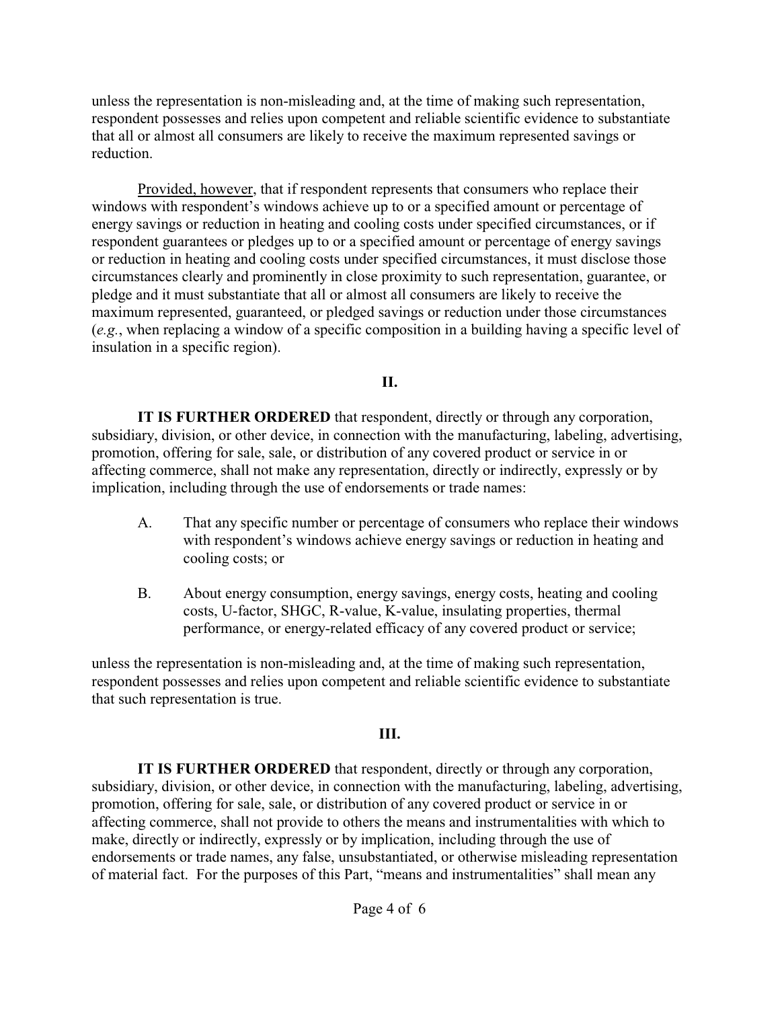unless the representation is non-misleading and, at the time of making such representation, respondent possesses and relies upon competent and reliable scientific evidence to substantiate that all or almost all consumers are likely to receive the maximum represented savings or reduction.

Provided, however, that if respondent represents that consumers who replace their windows with respondent's windows achieve up to or a specified amount or percentage of energy savings or reduction in heating and cooling costs under specified circumstances, or if respondent guarantees or pledges up to or a specified amount or percentage of energy savings or reduction in heating and cooling costs under specified circumstances, it must disclose those circumstances clearly and prominently in close proximity to such representation, guarantee, or pledge and it must substantiate that all or almost all consumers are likely to receive the maximum represented, guaranteed, or pledged savings or reduction under those circumstances (*e.g.*, when replacing a window of a specific composition in a building having a specific level of insulation in a specific region).

## **II.**

**IT IS FURTHER ORDERED** that respondent, directly or through any corporation, subsidiary, division, or other device, in connection with the manufacturing, labeling, advertising, promotion, offering for sale, sale, or distribution of any covered product or service in or affecting commerce, shall not make any representation, directly or indirectly, expressly or by implication, including through the use of endorsements or trade names:

- A. That any specific number or percentage of consumers who replace their windows with respondent's windows achieve energy savings or reduction in heating and cooling costs; or
- B. About energy consumption, energy savings, energy costs, heating and cooling costs, U-factor, SHGC, R-value, K-value, insulating properties, thermal performance, or energy-related efficacy of any covered product or service;

unless the representation is non-misleading and, at the time of making such representation, respondent possesses and relies upon competent and reliable scientific evidence to substantiate that such representation is true.

## **III.**

**IT IS FURTHER ORDERED** that respondent, directly or through any corporation, subsidiary, division, or other device, in connection with the manufacturing, labeling, advertising, promotion, offering for sale, sale, or distribution of any covered product or service in or affecting commerce, shall not provide to others the means and instrumentalities with which to make, directly or indirectly, expressly or by implication, including through the use of endorsements or trade names, any false, unsubstantiated, or otherwise misleading representation of material fact. For the purposes of this Part, "means and instrumentalities" shall mean any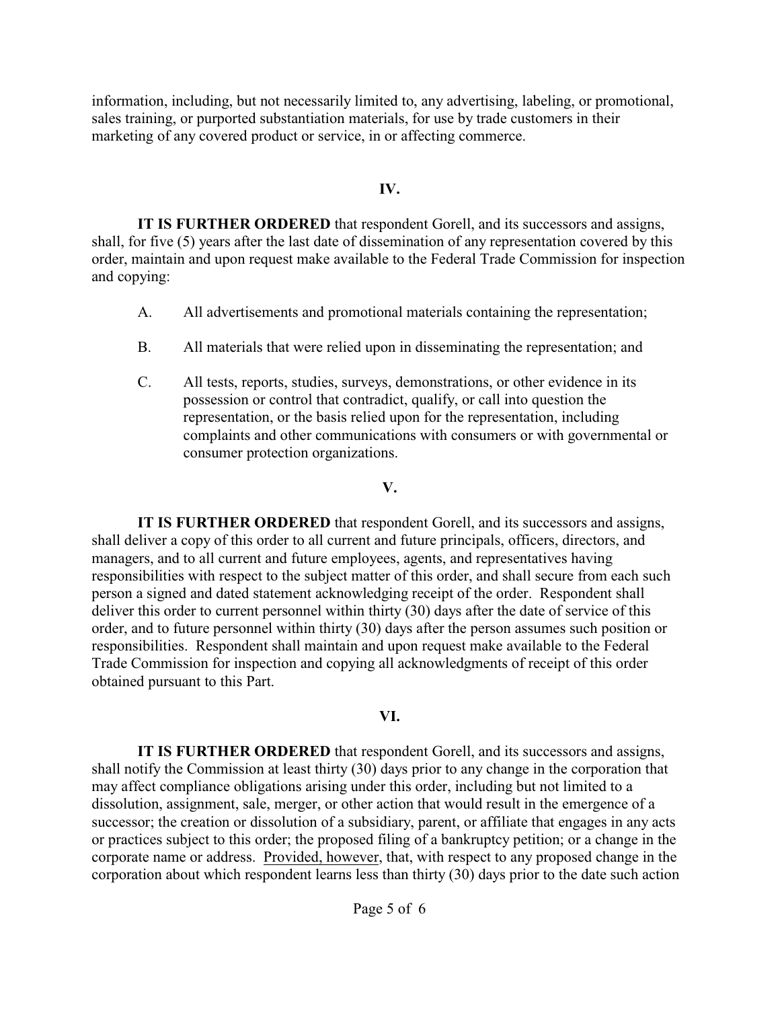information, including, but not necessarily limited to, any advertising, labeling, or promotional, sales training, or purported substantiation materials, for use by trade customers in their marketing of any covered product or service, in or affecting commerce.

#### **IV.**

**IT IS FURTHER ORDERED** that respondent Gorell, and its successors and assigns, shall, for five (5) years after the last date of dissemination of any representation covered by this order, maintain and upon request make available to the Federal Trade Commission for inspection and copying:

- A. All advertisements and promotional materials containing the representation;
- B. All materials that were relied upon in disseminating the representation; and
- C. All tests, reports, studies, surveys, demonstrations, or other evidence in its possession or control that contradict, qualify, or call into question the representation, or the basis relied upon for the representation, including complaints and other communications with consumers or with governmental or consumer protection organizations.

#### **V.**

**IT IS FURTHER ORDERED** that respondent Gorell, and its successors and assigns, shall deliver a copy of this order to all current and future principals, officers, directors, and managers, and to all current and future employees, agents, and representatives having responsibilities with respect to the subject matter of this order, and shall secure from each such person a signed and dated statement acknowledging receipt of the order. Respondent shall deliver this order to current personnel within thirty (30) days after the date of service of this order, and to future personnel within thirty (30) days after the person assumes such position or responsibilities. Respondent shall maintain and upon request make available to the Federal Trade Commission for inspection and copying all acknowledgments of receipt of this order obtained pursuant to this Part.

## **VI.**

**IT IS FURTHER ORDERED** that respondent Gorell, and its successors and assigns, shall notify the Commission at least thirty (30) days prior to any change in the corporation that may affect compliance obligations arising under this order, including but not limited to a dissolution, assignment, sale, merger, or other action that would result in the emergence of a successor; the creation or dissolution of a subsidiary, parent, or affiliate that engages in any acts or practices subject to this order; the proposed filing of a bankruptcy petition; or a change in the corporate name or address. Provided, however, that, with respect to any proposed change in the corporation about which respondent learns less than thirty (30) days prior to the date such action